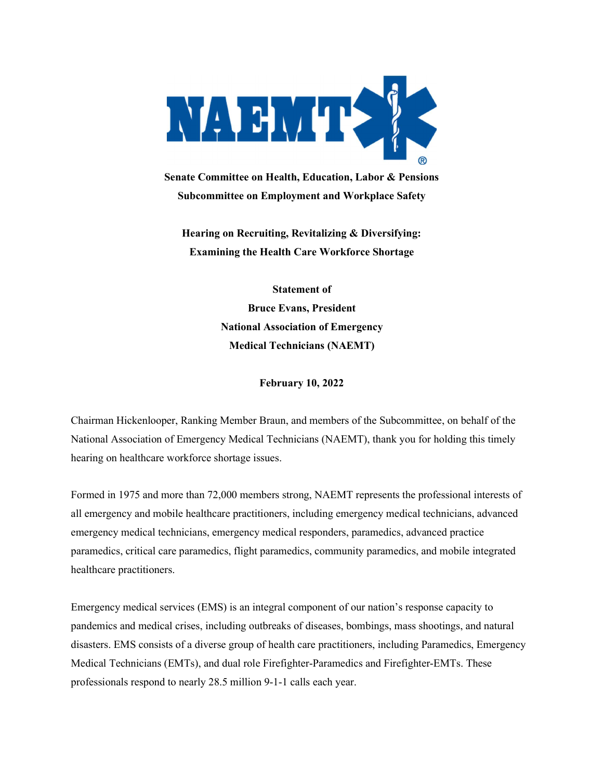

Senate Committee on Health, Education, Labor & Pensions Subcommittee on Employment and Workplace Safety

Hearing on Recruiting, Revitalizing & Diversifying: Examining the Health Care Workforce Shortage

> Statement of Bruce Evans, President National Association of Emergency Medical Technicians (NAEMT)

> > February 10, 2022

Chairman Hickenlooper, Ranking Member Braun, and members of the Subcommittee, on behalf of the National Association of Emergency Medical Technicians (NAEMT), thank you for holding this timely hearing on healthcare workforce shortage issues.

Formed in 1975 and more than 72,000 members strong, NAEMT represents the professional interests of all emergency and mobile healthcare practitioners, including emergency medical technicians, advanced emergency medical technicians, emergency medical responders, paramedics, advanced practice paramedics, critical care paramedics, flight paramedics, community paramedics, and mobile integrated healthcare practitioners.

Emergency medical services (EMS) is an integral component of our nation's response capacity to pandemics and medical crises, including outbreaks of diseases, bombings, mass shootings, and natural disasters. EMS consists of a diverse group of health care practitioners, including Paramedics, Emergency Medical Technicians (EMTs), and dual role Firefighter-Paramedics and Firefighter-EMTs. These professionals respond to nearly 28.5 million 9-1-1 calls each year.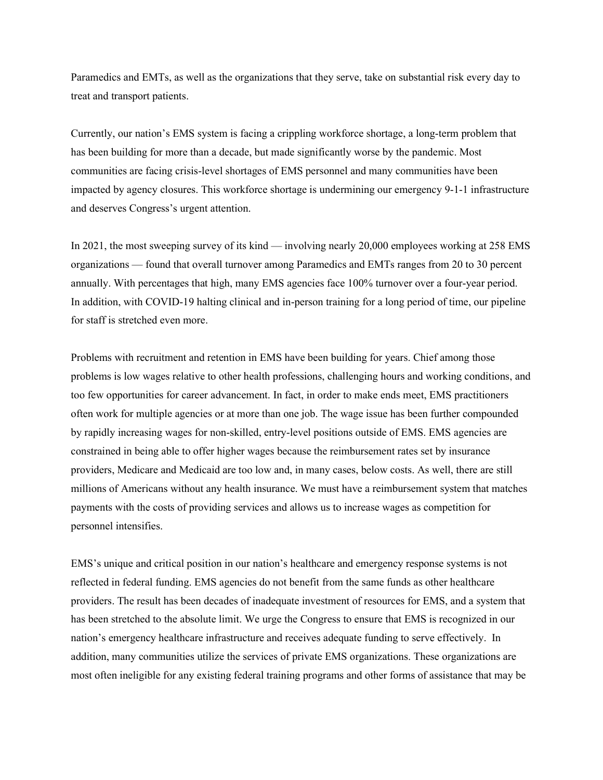Paramedics and EMTs, as well as the organizations that they serve, take on substantial risk every day to treat and transport patients.

Currently, our nation's EMS system is facing a crippling workforce shortage, a long-term problem that has been building for more than a decade, but made significantly worse by the pandemic. Most communities are facing crisis-level shortages of EMS personnel and many communities have been impacted by agency closures. This workforce shortage is undermining our emergency 9-1-1 infrastructure and deserves Congress's urgent attention.

In 2021, the most sweeping survey of its kind — involving nearly 20,000 employees working at 258 EMS organizations — found that overall turnover among Paramedics and EMTs ranges from 20 to 30 percent annually. With percentages that high, many EMS agencies face 100% turnover over a four-year period. In addition, with COVID-19 halting clinical and in-person training for a long period of time, our pipeline for staff is stretched even more.

Problems with recruitment and retention in EMS have been building for years. Chief among those problems is low wages relative to other health professions, challenging hours and working conditions, and too few opportunities for career advancement. In fact, in order to make ends meet, EMS practitioners often work for multiple agencies or at more than one job. The wage issue has been further compounded by rapidly increasing wages for non-skilled, entry-level positions outside of EMS. EMS agencies are constrained in being able to offer higher wages because the reimbursement rates set by insurance providers, Medicare and Medicaid are too low and, in many cases, below costs. As well, there are still millions of Americans without any health insurance. We must have a reimbursement system that matches payments with the costs of providing services and allows us to increase wages as competition for personnel intensifies.

EMS's unique and critical position in our nation's healthcare and emergency response systems is not reflected in federal funding. EMS agencies do not benefit from the same funds as other healthcare providers. The result has been decades of inadequate investment of resources for EMS, and a system that has been stretched to the absolute limit. We urge the Congress to ensure that EMS is recognized in our nation's emergency healthcare infrastructure and receives adequate funding to serve effectively. In addition, many communities utilize the services of private EMS organizations. These organizations are most often ineligible for any existing federal training programs and other forms of assistance that may be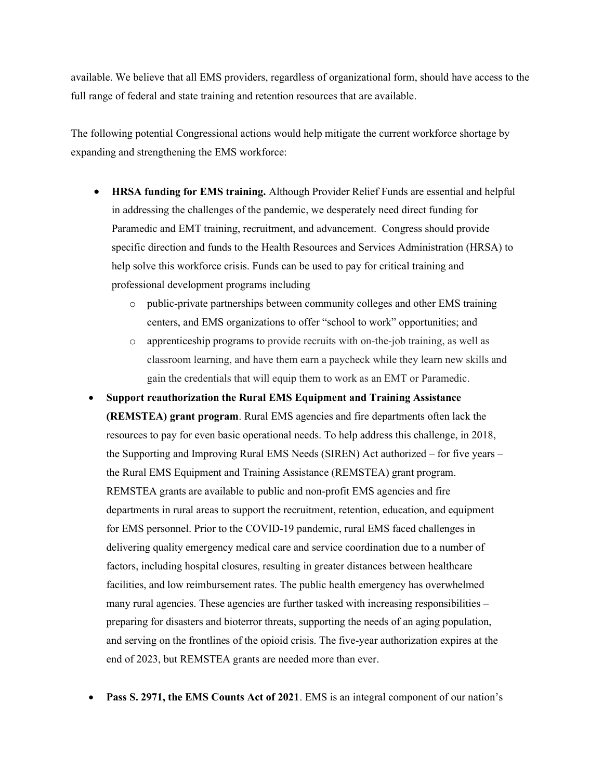available. We believe that all EMS providers, regardless of organizational form, should have access to the full range of federal and state training and retention resources that are available.

The following potential Congressional actions would help mitigate the current workforce shortage by expanding and strengthening the EMS workforce:

- HRSA funding for EMS training. Although Provider Relief Funds are essential and helpful in addressing the challenges of the pandemic, we desperately need direct funding for Paramedic and EMT training, recruitment, and advancement. Congress should provide specific direction and funds to the Health Resources and Services Administration (HRSA) to help solve this workforce crisis. Funds can be used to pay for critical training and professional development programs including
	- o public-private partnerships between community colleges and other EMS training centers, and EMS organizations to offer "school to work" opportunities; and
	- o apprenticeship programs to provide recruits with on-the-job training, as well as classroom learning, and have them earn a paycheck while they learn new skills and gain the credentials that will equip them to work as an EMT or Paramedic.
- Support reauthorization the Rural EMS Equipment and Training Assistance (REMSTEA) grant program. Rural EMS agencies and fire departments often lack the resources to pay for even basic operational needs. To help address this challenge, in 2018, the Supporting and Improving Rural EMS Needs (SIREN) Act authorized – for five years – the Rural EMS Equipment and Training Assistance (REMSTEA) grant program. REMSTEA grants are available to public and non-profit EMS agencies and fire departments in rural areas to support the recruitment, retention, education, and equipment for EMS personnel. Prior to the COVID-19 pandemic, rural EMS faced challenges in delivering quality emergency medical care and service coordination due to a number of factors, including hospital closures, resulting in greater distances between healthcare facilities, and low reimbursement rates. The public health emergency has overwhelmed many rural agencies. These agencies are further tasked with increasing responsibilities – preparing for disasters and bioterror threats, supporting the needs of an aging population, and serving on the frontlines of the opioid crisis. The five-year authorization expires at the end of 2023, but REMSTEA grants are needed more than ever.
- Pass S. 2971, the EMS Counts Act of 2021. EMS is an integral component of our nation's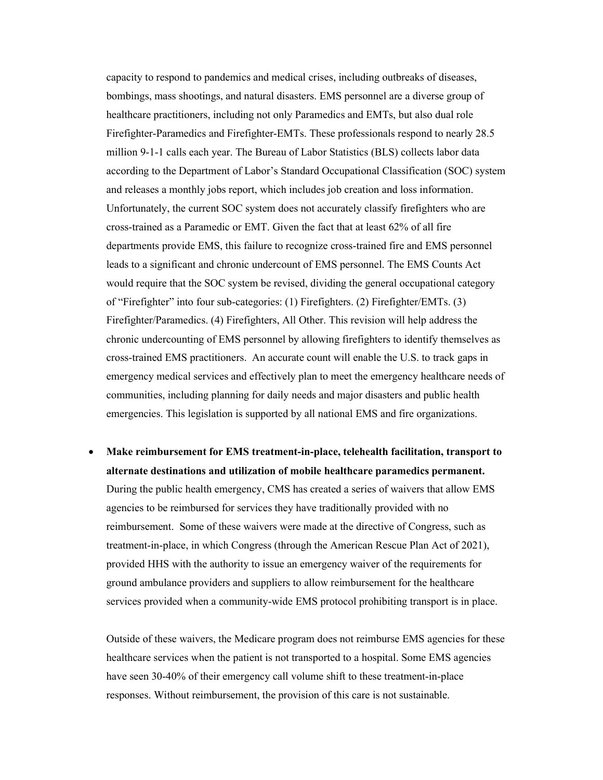capacity to respond to pandemics and medical crises, including outbreaks of diseases, bombings, mass shootings, and natural disasters. EMS personnel are a diverse group of healthcare practitioners, including not only Paramedics and EMTs, but also dual role Firefighter-Paramedics and Firefighter-EMTs. These professionals respond to nearly 28.5 million 9-1-1 calls each year. The Bureau of Labor Statistics (BLS) collects labor data according to the Department of Labor's Standard Occupational Classification (SOC) system and releases a monthly jobs report, which includes job creation and loss information. Unfortunately, the current SOC system does not accurately classify firefighters who are cross-trained as a Paramedic or EMT. Given the fact that at least 62% of all fire departments provide EMS, this failure to recognize cross-trained fire and EMS personnel leads to a significant and chronic undercount of EMS personnel. The EMS Counts Act would require that the SOC system be revised, dividing the general occupational category of "Firefighter" into four sub-categories: (1) Firefighters. (2) Firefighter/EMTs. (3) Firefighter/Paramedics. (4) Firefighters, All Other. This revision will help address the chronic undercounting of EMS personnel by allowing firefighters to identify themselves as cross-trained EMS practitioners. An accurate count will enable the U.S. to track gaps in emergency medical services and effectively plan to meet the emergency healthcare needs of communities, including planning for daily needs and major disasters and public health emergencies. This legislation is supported by all national EMS and fire organizations.

 Make reimbursement for EMS treatment-in-place, telehealth facilitation, transport to alternate destinations and utilization of mobile healthcare paramedics permanent. During the public health emergency, CMS has created a series of waivers that allow EMS agencies to be reimbursed for services they have traditionally provided with no reimbursement. Some of these waivers were made at the directive of Congress, such as treatment-in-place, in which Congress (through the American Rescue Plan Act of 2021), provided HHS with the authority to issue an emergency waiver of the requirements for ground ambulance providers and suppliers to allow reimbursement for the healthcare services provided when a community-wide EMS protocol prohibiting transport is in place.

Outside of these waivers, the Medicare program does not reimburse EMS agencies for these healthcare services when the patient is not transported to a hospital. Some EMS agencies have seen 30-40% of their emergency call volume shift to these treatment-in-place responses. Without reimbursement, the provision of this care is not sustainable.